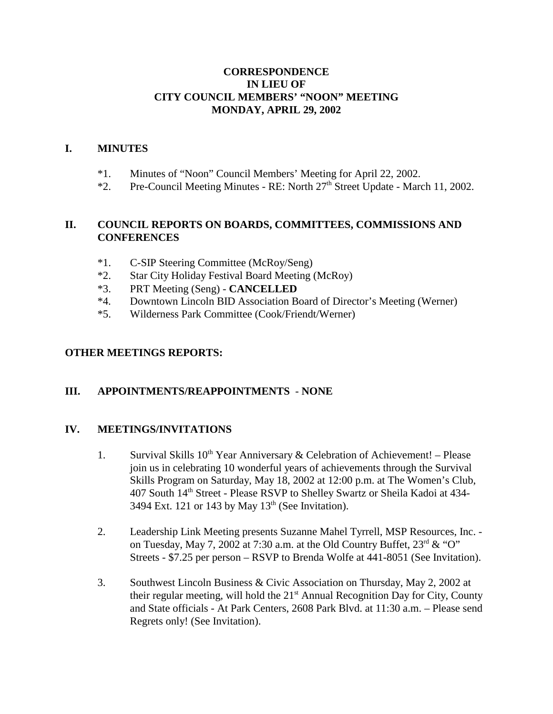## **CORRESPONDENCE IN LIEU OF CITY COUNCIL MEMBERS' "NOON" MEETING MONDAY, APRIL 29, 2002**

### **I. MINUTES**

- \*1. Minutes of "Noon" Council Members' Meeting for April 22, 2002.
- $*2.$  Pre-Council Meeting Minutes RE: North  $27<sup>th</sup>$  Street Update March 11, 2002.

### **II. COUNCIL REPORTS ON BOARDS, COMMITTEES, COMMISSIONS AND CONFERENCES**

- \*1. C-SIP Steering Committee (McRoy/Seng)
- \*2. Star City Holiday Festival Board Meeting (McRoy)
- \*3. PRT Meeting (Seng) **CANCELLED**
- \*4. Downtown Lincoln BID Association Board of Director's Meeting (Werner)
- \*5. Wilderness Park Committee (Cook/Friendt/Werner)

### **OTHER MEETINGS REPORTS:**

#### **III. APPOINTMENTS/REAPPOINTMENTS** - **NONE**

#### **IV. MEETINGS/INVITATIONS**

- 1. Survival Skills  $10^{th}$  Year Anniversary & Celebration of Achievement! Please join us in celebrating 10 wonderful years of achievements through the Survival Skills Program on Saturday, May 18, 2002 at 12:00 p.m. at The Women's Club, 407 South 14th Street - Please RSVP to Shelley Swartz or Sheila Kadoi at 434- 3494 Ext. 121 or 143 by May  $13<sup>th</sup>$  (See Invitation).
- 2. Leadership Link Meeting presents Suzanne Mahel Tyrrell, MSP Resources, Inc. on Tuesday, May 7, 2002 at 7:30 a.m. at the Old Country Buffet,  $23^{\text{rd}}$  & "O" Streets - \$7.25 per person – RSVP to Brenda Wolfe at 441-8051 (See Invitation).
- 3. Southwest Lincoln Business & Civic Association on Thursday, May 2, 2002 at their regular meeting, will hold the  $21<sup>st</sup>$  Annual Recognition Day for City, County and State officials - At Park Centers, 2608 Park Blvd. at 11:30 a.m. – Please send Regrets only! (See Invitation).